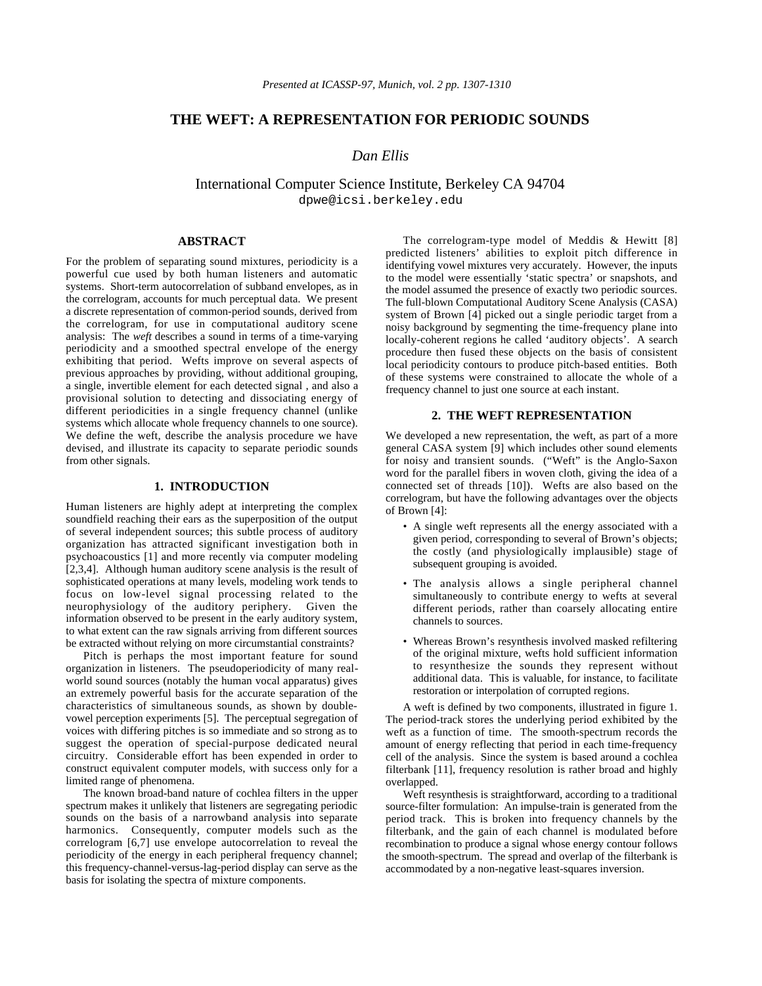# **THE WEFT: A REPRESENTATION FOR PERIODIC SOUNDS**

*Dan Ellis*

International Computer Science Institute, Berkeley CA 94704 dpwe@icsi.berkeley.edu

## **ABSTRACT**

For the problem of separating sound mixtures, periodicity is a powerful cue used by both human listeners and automatic systems. Short-term autocorrelation of subband envelopes, as in the correlogram, accounts for much perceptual data. We present a discrete representation of common-period sounds, derived from the correlogram, for use in computational auditory scene analysis: The *weft* describes a sound in terms of a time-varying periodicity and a smoothed spectral envelope of the energy exhibiting that period. Wefts improve on several aspects of previous approaches by providing, without additional grouping, a single, invertible element for each detected signal , and also a provisional solution to detecting and dissociating energy of different periodicities in a single frequency channel (unlike systems which allocate whole frequency channels to one source). We define the weft, describe the analysis procedure we have devised, and illustrate its capacity to separate periodic sounds from other signals.

#### **1. INTRODUCTION**

Human listeners are highly adept at interpreting the complex soundfield reaching their ears as the superposition of the output of several independent sources; this subtle process of auditory organization has attracted significant investigation both in psychoacoustics [1] and more recently via computer modeling [2,3,4]. Although human auditory scene analysis is the result of sophisticated operations at many levels, modeling work tends to focus on low-level signal processing related to the neurophysiology of the auditory periphery. Given the information observed to be present in the early auditory system, to what extent can the raw signals arriving from different sources be extracted without relying on more circumstantial constraints?

Pitch is perhaps the most important feature for sound organization in listeners. The pseudoperiodicity of many realworld sound sources (notably the human vocal apparatus) gives an extremely powerful basis for the accurate separation of the characteristics of simultaneous sounds, as shown by doublevowel perception experiments [5]. The perceptual segregation of voices with differing pitches is so immediate and so strong as to suggest the operation of special-purpose dedicated neural circuitry. Considerable effort has been expended in order to construct equivalent computer models, with success only for a limited range of phenomena.

The known broad-band nature of cochlea filters in the upper spectrum makes it unlikely that listeners are segregating periodic sounds on the basis of a narrowband analysis into separate harmonics. Consequently, computer models such as the correlogram [6,7] use envelope autocorrelation to reveal the periodicity of the energy in each peripheral frequency channel; this frequency-channel-versus-lag-period display can serve as the basis for isolating the spectra of mixture components.

The correlogram-type model of Meddis & Hewitt [8] predicted listeners' abilities to exploit pitch difference in identifying vowel mixtures very accurately. However, the inputs to the model were essentially 'static spectra' or snapshots, and the model assumed the presence of exactly two periodic sources. The full-blown Computational Auditory Scene Analysis (CASA) system of Brown [4] picked out a single periodic target from a noisy background by segmenting the time-frequency plane into locally-coherent regions he called 'auditory objects'. A search procedure then fused these objects on the basis of consistent local periodicity contours to produce pitch-based entities. Both of these systems were constrained to allocate the whole of a frequency channel to just one source at each instant.

### **2. THE WEFT REPRESENTATION**

We developed a new representation, the weft, as part of a more general CASA system [9] which includes other sound elements for noisy and transient sounds. ("Weft" is the Anglo-Saxon word for the parallel fibers in woven cloth, giving the idea of a connected set of threads [10]). Wefts are also based on the correlogram, but have the following advantages over the objects of Brown [4]:

- A single weft represents all the energy associated with a given period, corresponding to several of Brown's objects; the costly (and physiologically implausible) stage of subsequent grouping is avoided.
- The analysis allows a single peripheral channel simultaneously to contribute energy to wefts at several different periods, rather than coarsely allocating entire channels to sources.
- Whereas Brown's resynthesis involved masked refiltering of the original mixture, wefts hold sufficient information to resynthesize the sounds they represent without additional data. This is valuable, for instance, to facilitate restoration or interpolation of corrupted regions.

A weft is defined by two components, illustrated in figure 1. The period-track stores the underlying period exhibited by the weft as a function of time. The smooth-spectrum records the amount of energy reflecting that period in each time-frequency cell of the analysis. Since the system is based around a cochlea filterbank [11], frequency resolution is rather broad and highly overlapped.

Weft resynthesis is straightforward, according to a traditional source-filter formulation: An impulse-train is generated from the period track. This is broken into frequency channels by the filterbank, and the gain of each channel is modulated before recombination to produce a signal whose energy contour follows the smooth-spectrum. The spread and overlap of the filterbank is accommodated by a non-negative least-squares inversion.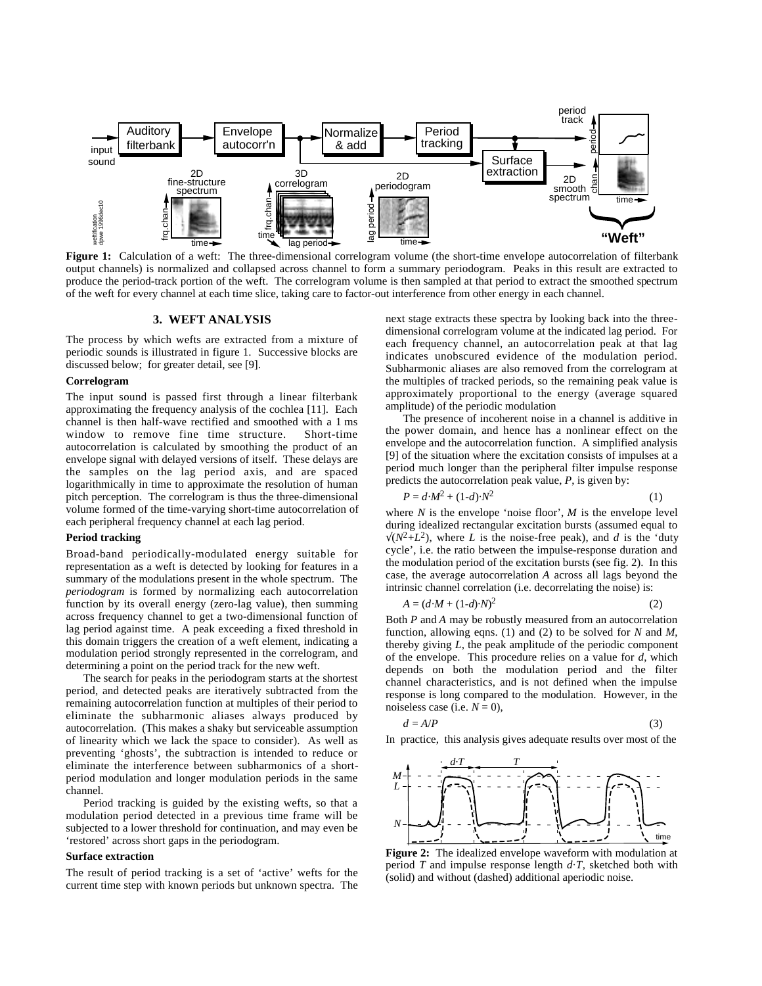

**Figure 1:** Calculation of a weft: The three-dimensional correlogram volume (the short-time envelope autocorrelation of filterbank output channels) is normalized and collapsed across channel to form a summary periodogram. Peaks in this result are extracted to produce the period-track portion of the weft. The correlogram volume is then sampled at that period to extract the smoothed spectrum of the weft for every channel at each time slice, taking care to factor-out interference from other energy in each channel.

#### **3. WEFT ANALYSIS**

The process by which wefts are extracted from a mixture of periodic sounds is illustrated in figure 1. Successive blocks are discussed below; for greater detail, see [9].

#### **Correlogram**

The input sound is passed first through a linear filterbank approximating the frequency analysis of the cochlea [11]. Each channel is then half-wave rectified and smoothed with a 1 ms window to remove fine time structure. Short-time autocorrelation is calculated by smoothing the product of an envelope signal with delayed versions of itself. These delays are the samples on the lag period axis, and are spaced logarithmically in time to approximate the resolution of human pitch perception. The correlogram is thus the three-dimensional volume formed of the time-varying short-time autocorrelation of each peripheral frequency channel at each lag period.

#### **Period tracking**

Broad-band periodically-modulated energy suitable for representation as a weft is detected by looking for features in a summary of the modulations present in the whole spectrum. The *periodogram* is formed by normalizing each autocorrelation function by its overall energy (zero-lag value), then summing across frequency channel to get a two-dimensional function of lag period against time. A peak exceeding a fixed threshold in this domain triggers the creation of a weft element, indicating a modulation period strongly represented in the correlogram, and determining a point on the period track for the new weft.

The search for peaks in the periodogram starts at the shortest period, and detected peaks are iteratively subtracted from the remaining autocorrelation function at multiples of their period to eliminate the subharmonic aliases always produced by autocorrelation. (This makes a shaky but serviceable assumption of linearity which we lack the space to consider). As well as preventing 'ghosts', the subtraction is intended to reduce or eliminate the interference between subharmonics of a shortperiod modulation and longer modulation periods in the same channel.

Period tracking is guided by the existing wefts, so that a modulation period detected in a previous time frame will be subjected to a lower threshold for continuation, and may even be 'restored' across short gaps in the periodogram.

#### **Surface extraction**

The result of period tracking is a set of 'active' wefts for the current time step with known periods but unknown spectra. The next stage extracts these spectra by looking back into the threedimensional correlogram volume at the indicated lag period. For each frequency channel, an autocorrelation peak at that lag indicates unobscured evidence of the modulation period. Subharmonic aliases are also removed from the correlogram at the multiples of tracked periods, so the remaining peak value is approximately proportional to the energy (average squared amplitude) of the periodic modulation

The presence of incoherent noise in a channel is additive in the power domain, and hence has a nonlinear effect on the envelope and the autocorrelation function. A simplified analysis [9] of the situation where the excitation consists of impulses at a period much longer than the peripheral filter impulse response predicts the autocorrelation peak value, *P*, is given by:

$$
P = d \cdot M^2 + (1-d) \cdot N^2 \tag{1}
$$

where  $N$  is the envelope 'noise floor',  $M$  is the envelope level during idealized rectangular excitation bursts (assumed equal to  $\sqrt{(N^2+L^2)}$ , where *L* is the noise-free peak), and *d* is the 'duty cycle', i.e. the ratio between the impulse-response duration and the modulation period of the excitation bursts (see fig. 2). In this case, the average autocorrelation *A* across all lags beyond the intrinsic channel correlation (i.e. decorrelating the noise) is:

$$
A = (d \cdot M + (1-d) \cdot N)^2 \tag{2}
$$

Both *P* and *A* may be robustly measured from an autocorrelation function, allowing eqns. (1) and (2) to be solved for *N* and *M*, thereby giving *L*, the peak amplitude of the periodic component of the envelope. This procedure relies on a value for *d*, which depends on both the modulation period and the filter channel characteristics, and is not defined when the impulse response is long compared to the modulation. However, in the noiseless case (i.e.  $N = 0$ ),

$$
d = A/P \tag{3}
$$

In practice, this analysis gives adequate results over most of the



**Figure 2:** The idealized envelope waveform with modulation at period *T* and impulse response length *d*·*T*, sketched both with (solid) and without (dashed) additional aperiodic noise.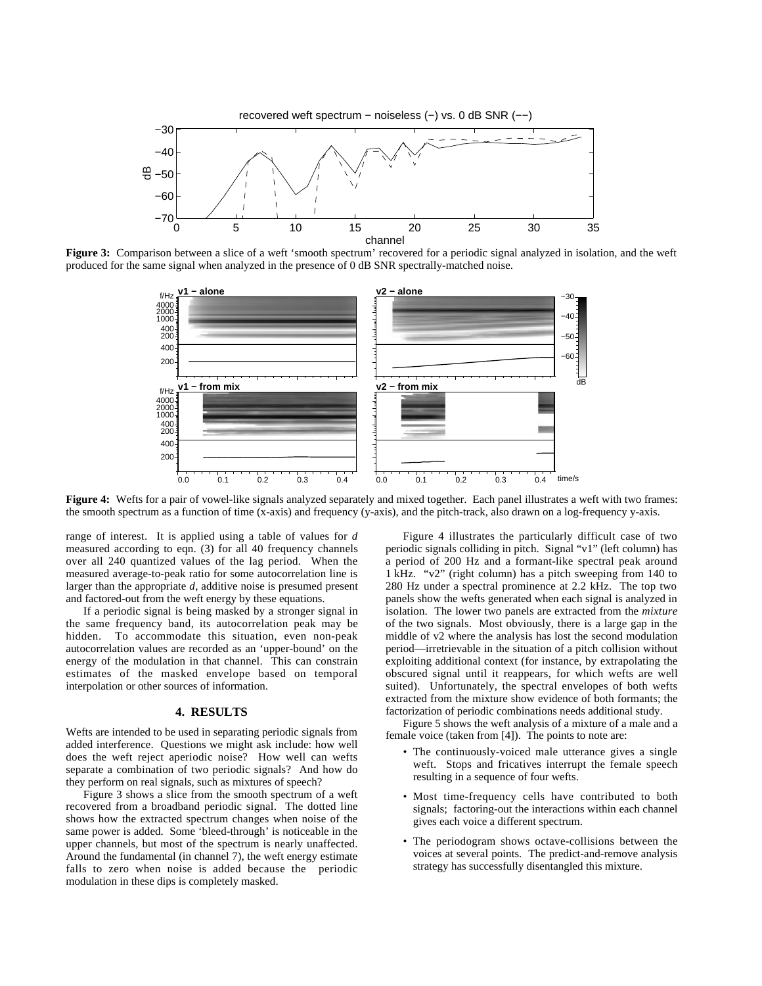

**Figure 3:** Comparison between a slice of a weft 'smooth spectrum' recovered for a periodic signal analyzed in isolation, and the weft produced for the same signal when analyzed in the presence of 0 dB SNR spectrally-matched noise.



**Figure 4:** Wefts for a pair of vowel-like signals analyzed separately and mixed together. Each panel illustrates a weft with two frames: the smooth spectrum as a function of time (x-axis) and frequency (y-axis), and the pitch-track, also drawn on a log-frequency y-axis.

range of interest. It is applied using a table of values for *d* measured according to eqn. (3) for all 40 frequency channels over all 240 quantized values of the lag period. When the measured average-to-peak ratio for some autocorrelation line is larger than the appropriate *d*, additive noise is presumed present and factored-out from the weft energy by these equations.

If a periodic signal is being masked by a stronger signal in the same frequency band, its autocorrelation peak may be hidden. To accommodate this situation, even non-peak autocorrelation values are recorded as an 'upper-bound' on the energy of the modulation in that channel. This can constrain estimates of the masked envelope based on temporal interpolation or other sources of information.

#### **4. RESULTS**

Wefts are intended to be used in separating periodic signals from added interference. Questions we might ask include: how well does the weft reject aperiodic noise? How well can wefts separate a combination of two periodic signals? And how do they perform on real signals, such as mixtures of speech?

Figure 3 shows a slice from the smooth spectrum of a weft recovered from a broadband periodic signal. The dotted line shows how the extracted spectrum changes when noise of the same power is added. Some 'bleed-through' is noticeable in the upper channels, but most of the spectrum is nearly unaffected. Around the fundamental (in channel 7), the weft energy estimate falls to zero when noise is added because the periodic modulation in these dips is completely masked.

Figure 4 illustrates the particularly difficult case of two periodic signals colliding in pitch. Signal "v1" (left column) has a period of 200 Hz and a formant-like spectral peak around 1 kHz. "v2" (right column) has a pitch sweeping from 140 to 280 Hz under a spectral prominence at 2.2 kHz. The top two panels show the wefts generated when each signal is analyzed in isolation. The lower two panels are extracted from the *mixture* of the two signals. Most obviously, there is a large gap in the middle of v2 where the analysis has lost the second modulation period—irretrievable in the situation of a pitch collision without exploiting additional context (for instance, by extrapolating the obscured signal until it reappears, for which wefts are well suited). Unfortunately, the spectral envelopes of both wefts extracted from the mixture show evidence of both formants; the factorization of periodic combinations needs additional study.

Figure 5 shows the weft analysis of a mixture of a male and a female voice (taken from [4]). The points to note are:

- The continuously-voiced male utterance gives a single weft. Stops and fricatives interrupt the female speech resulting in a sequence of four wefts.
- Most time-frequency cells have contributed to both signals; factoring-out the interactions within each channel gives each voice a different spectrum.
- The periodogram shows octave-collisions between the voices at several points. The predict-and-remove analysis strategy has successfully disentangled this mixture.